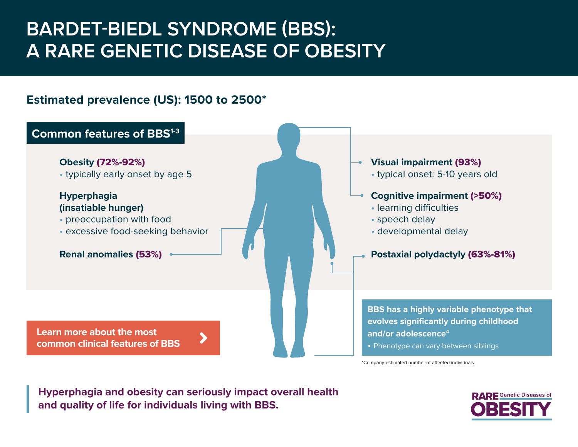# **BARDET-BIEDL SYNDROME (BBS): A RARE GENETIC DISEASE OF OBESITY**

### **Estimated prevalence (US): 1500 to 2500\***



\*Company-estimated number of affected individuals.

**Hyperphagia and obesity can seriously impact overall health and quality of life for individuals living with BBS.** 

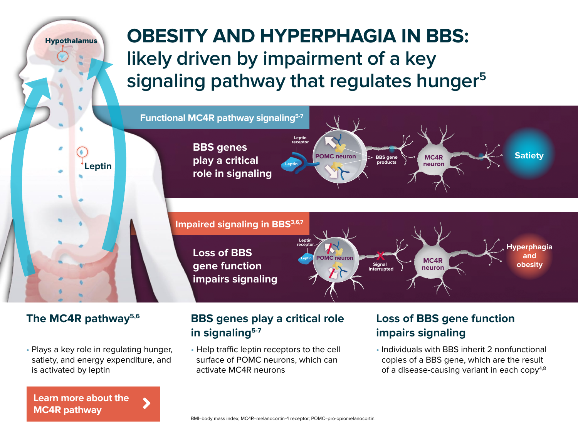Hypothalamus

# **OBESITY AND HYPERPHAGIA IN BBS: likely driven by impairment of a key signaling pathway that regulates hunger5**



• Plays a key role in regulating hunger, satiety, and energy expenditure, and is activated by leptin

**[Learn more about the](https://bbs.uncommonobesity.com/#bbs-mod)  MC4R pathway**

### The MC4R pathway<sup>5,6</sup> BBS genes play a critical role Loss of BBS gene function **in signaling5-7**

• Help traffic leptin receptors to the cell surface of POMC neurons, which can activate MC4R neurons

# **impairs signaling**

• Individuals with BBS inherit 2 nonfunctional copies of a BBS gene, which are the result of a disease-causing variant in each copy<sup>4,8</sup>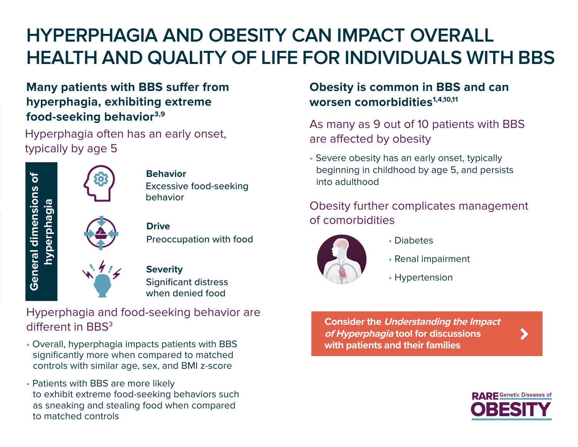# **HYPERPHAGIA AND OBESITY CAN IMPACT OVERALL HEALTH AND QUALITY OF LIFE FOR INDIVIDUALS WITH BBS**

### **Many patients with BBS suffer from hyperphagia, exhibiting extreme food-seeking behavior3,9**

Hyperphagia often has an early onset, typically by age 5



### Excessive food-seeking behavior **Behavior**

### Preoccupation with food **Drive**

Significant distress when denied food **Severity**

### Hyperphagia and food-seeking behavior are different in BBS<sup>3</sup>

- Overall, hyperphagia impacts patients with BBS significantly more when compared to matched controls with similar age, sex, and BMI z-score
- Patients with BBS are more likely to exhibit extreme food-seeking behaviors such as sneaking and stealing food when compared to matched controls

### **Obesity is common in BBS and can**  worsen comorbidities<sup>1,4,10,11</sup>

As many as 9 out of 10 patients with BBS are affected by obesity

• Severe obesity has an early onset, typically beginning in childhood by age 5, and persists into adulthood

### Obesity further complicates management of comorbidities



- Diabetes
- Renal impairment
- Hypertension

**Consider the Understanding the Impact of Hyperphagia tool for discussions [with patients and their families](http://bbs.uncommonobesity.com/hyperphagia-questionnaire.pdf)**